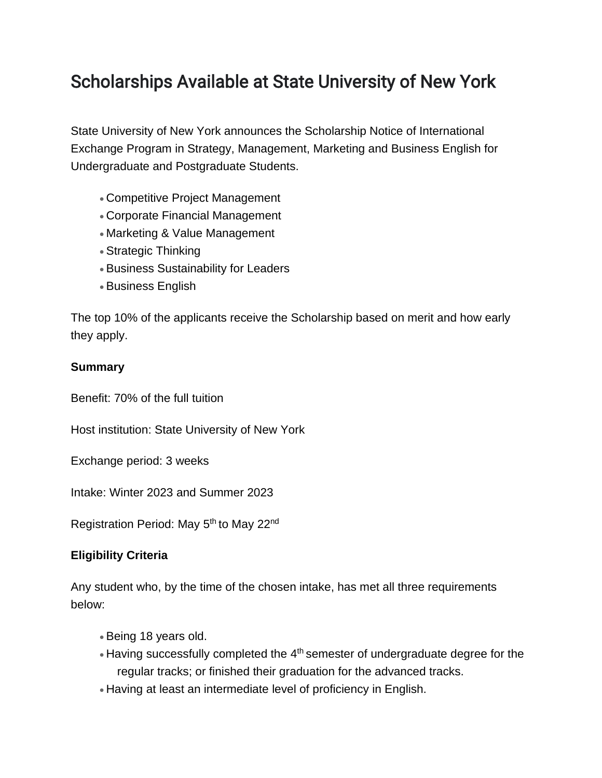# Scholarships Available at State University of New York

State University of New York announces the Scholarship Notice of International Exchange Program in Strategy, Management, Marketing and Business English for Undergraduate and Postgraduate Students.

- Competitive Project Management
- Corporate Financial Management
- Marketing & Value Management
- Strategic Thinking
- Business Sustainability for Leaders
- Business English

The top 10% of the applicants receive the Scholarship based on merit and how early they apply.

### **Summary**

Benefit: 70% of the full tuition

Host institution: State University of New York

Exchange period: 3 weeks

Intake: Winter 2023 and Summer 2023

Registration Period: May 5<sup>th</sup> to May 22<sup>nd</sup>

## **Eligibility Criteria**

Any student who, by the time of the chosen intake, has met all three requirements below:

- Being 18 years old.
- $\bullet$  Having successfully completed the  $4<sup>th</sup>$  semester of undergraduate degree for the regular tracks; or finished their graduation for the advanced tracks.
- Having at least an intermediate level of proficiency in English.